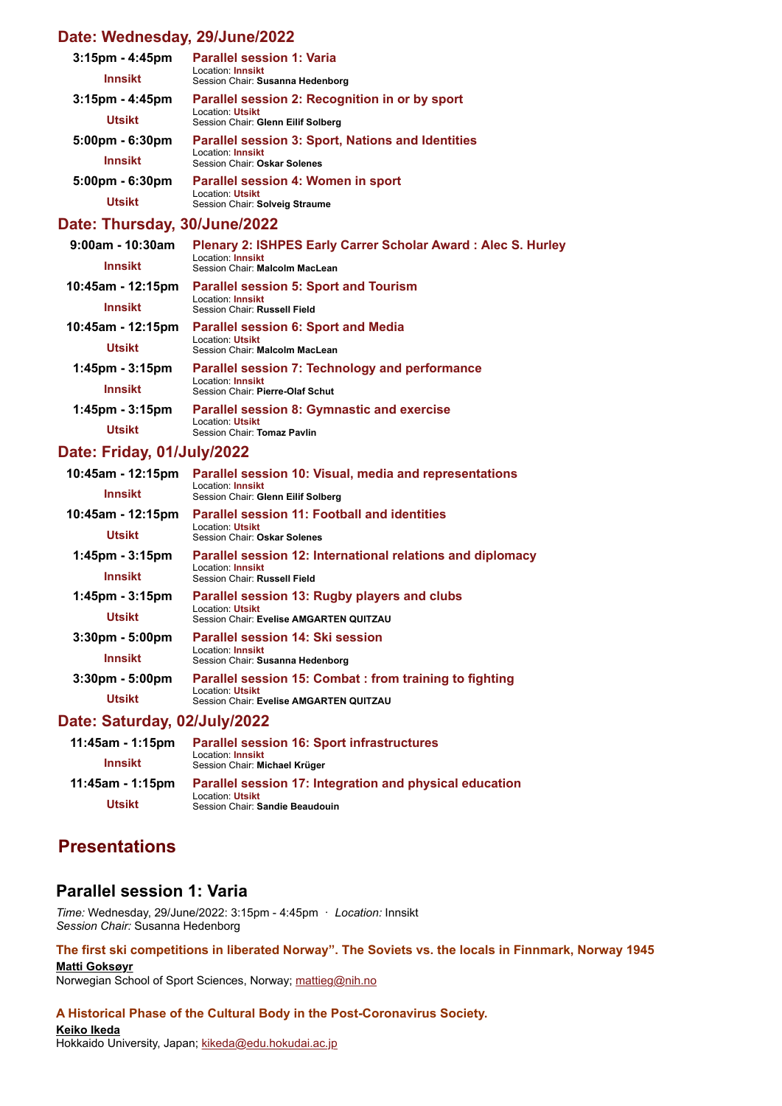## **[Date: Wednesday, 29/June/2022](https://www.conftool.net/2022-ishpes-conference/index.php?page=adminSessionsBrowse&print=yes&doprint=yes&form_date=2022-06-29&form_tracks=1&presentations=show)**

| $3:15$ pm - $4:45$ pm<br><b>Innsikt</b> | <b>Parallel session 1: Varia</b><br>Location: Innsikt<br>Session Chair: Susanna Hedenborg                     |
|-----------------------------------------|---------------------------------------------------------------------------------------------------------------|
| $3:15$ pm - 4:45pm                      | Parallel session 2: Recognition in or by sport                                                                |
| <b>Utsikt</b>                           | Location: Utsikt<br>Session Chair: Glenn Eilif Solberg                                                        |
| $5:00 \text{pm} - 6:30 \text{pm}$       | <b>Parallel session 3: Sport, Nations and Identities</b><br>Location: Innsikt<br>Session Chair: Oskar Solenes |
| <b>Innsikt</b>                          |                                                                                                               |
| $5:00 \text{pm} - 6:30 \text{pm}$       | Parallel session 4: Women in sport                                                                            |
| <b>Utsikt</b>                           | <b>Location: Utsikt</b><br>Session Chair: Solveig Straume                                                     |

## **[Date: Thursday, 30/June/2022](https://www.conftool.net/2022-ishpes-conference/index.php?page=adminSessionsBrowse&print=yes&doprint=yes&form_date=2022-06-30&form_tracks=1&presentations=show)**

| $9:00$ am - 10:30am<br><b>Innsikt</b> | Plenary 2: ISHPES Early Carrer Scholar Award: Alec S. Hurley<br>Location: Innsikt<br>Session Chair: Malcolm MacLean |
|---------------------------------------|---------------------------------------------------------------------------------------------------------------------|
| 10:45am - 12:15pm                     | <b>Parallel session 5: Sport and Tourism</b>                                                                        |
| <b>Innsikt</b>                        | Location: Innsikt<br>Session Chair: Russell Field                                                                   |
| 10:45am - 12:15pm                     | <b>Parallel session 6: Sport and Media</b>                                                                          |
| <b>Utsikt</b>                         | Location: Utsikt<br>Session Chair: Malcolm MacLean                                                                  |
| $1:45$ pm - $3:15$ pm                 | Parallel session 7: Technology and performance<br>Location: Innsikt                                                 |
| <b>Innsikt</b>                        | Session Chair: Pierre-Olaf Schut                                                                                    |
| $1:45$ pm - $3:15$ pm                 | <b>Parallel session 8: Gymnastic and exercise</b>                                                                   |
| <b>Utsikt</b>                         | Location: Utsikt<br>Session Chair: Tomaz Pavlin                                                                     |

## **[Date: Friday, 01/July/2022](https://www.conftool.net/2022-ishpes-conference/index.php?page=adminSessionsBrowse&print=yes&doprint=yes&form_date=2022-07-01&form_tracks=1&presentations=show)**

| 10:45am - 12:15pm                 | Parallel session 10: Visual, media and representations<br>Location: Innsikt<br>Session Chair: Glenn Eilif Solberg     |
|-----------------------------------|-----------------------------------------------------------------------------------------------------------------------|
| <b>Innsikt</b>                    |                                                                                                                       |
| 10:45am - 12:15pm                 | Parallel session 11: Football and identities                                                                          |
| <b>Utsikt</b>                     | Location: Utsikt<br>Session Chair: Oskar Solenes                                                                      |
| $1:45$ pm - $3:15$ pm             | Parallel session 12: International relations and diplomacy                                                            |
| <b>Innsikt</b>                    | Location: Innsikt<br>Session Chair: Russell Field                                                                     |
| $1:45$ pm - $3:15$ pm             | Parallel session 13: Rugby players and clubs<br>Location: Utsikt<br>Session Chair: Evelise AMGARTEN QUITZAU           |
| <b>Utsikt</b>                     |                                                                                                                       |
| $3:30 \text{pm} - 5:00 \text{pm}$ | Parallel session 14: Ski session                                                                                      |
| Innsikt                           | Location: Innsikt<br>Session Chair: Susanna Hedenborg                                                                 |
| $3:30 \text{pm} - 5:00 \text{pm}$ | Parallel session 15: Combat: from training to fighting<br>Location: Utsikt<br>Session Chair: Evelise AMGARTEN QUITZAU |
| <b>Utsikt</b>                     |                                                                                                                       |

## **[Date: Saturday, 02/July/2022](https://www.conftool.net/2022-ishpes-conference/index.php?page=adminSessionsBrowse&print=yes&doprint=yes&form_date=2022-07-02&form_tracks=1&presentations=show)**

| 11:45am - 1:15pm | <b>Parallel session 16: Sport infrastructures</b>         |
|------------------|-----------------------------------------------------------|
| Innsikt          | Location: <b>Innsikt</b><br>Session Chair: Michael Krüger |
| 11:45am - 1:15pm | Parallel session 17: Integration and physical education   |
| Utsikt           | Location: Utsikt<br>Session Chair: Sandie Beaudouin       |

## **Presentations**

## **Parallel session 1: Varia**

*Time:* Wednesday, 29/June/2022: 3:15pm - 4:45pm · *Location:* Innsikt *Session Chair:* Susanna Hedenborg

**The first ski competitions in liberated Norway". The Soviets vs. the locals in Finnmark, Norway 1945 Matti Goksøyr** Norwegian School of Sport Sciences, Norway; [mattieg@nih.no](mailto:mattieg@nih.no)

## **A Historical Phase of the Cultural Body in the Post-Coronavirus Society.**

**Keiko Ikeda** Hokkaido University, Japan; [kikeda@edu.hokudai.ac.jp](mailto:kikeda@edu.hokudai.ac.jp)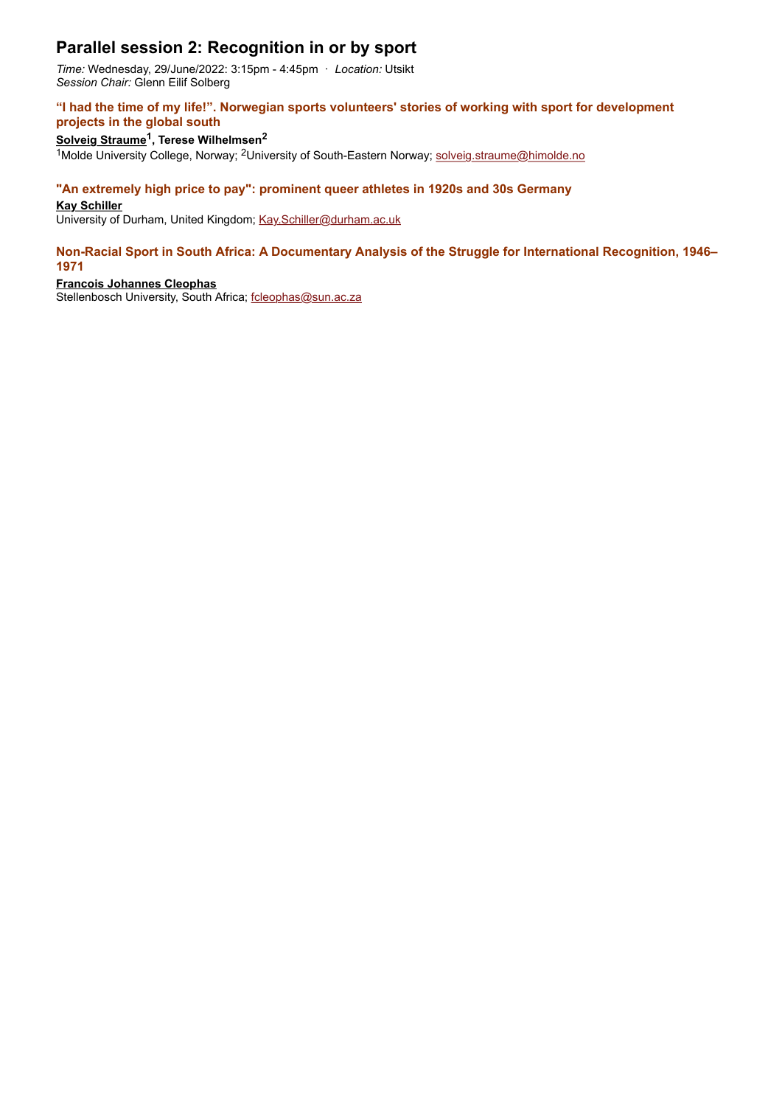# **Parallel session 2: Recognition in or by sport**

*Time:* Wednesday, 29/June/2022: 3:15pm - 4:45pm · *Location:* Utsikt *Session Chair:* Glenn Eilif Solberg

### **"I had the time of my life!". Norwegian sports volunteers' stories of working with sport for development projects in the global south**

## **Solveig Straume1, Terese Wilhelmsen2**

1Molde University College, Norway; 2University of South-Eastern Norway; [solveig.straume@himolde.no](mailto:solveig.straume@himolde.no)

### **"An extremely high price to pay": prominent queer athletes in 1920s and 30s Germany**

#### **Kay Schiller**

University of Durham, United Kingdom; [Kay.Schiller@durham.ac.uk](mailto:Kay.Schiller@durham.ac.uk)

#### **Non-Racial Sport in South Africa: A Documentary Analysis of the Struggle for International Recognition, 1946– 1971**

#### **Francois Johannes Cleophas**

Stellenbosch University, South Africa; foleophas@sun.ac.za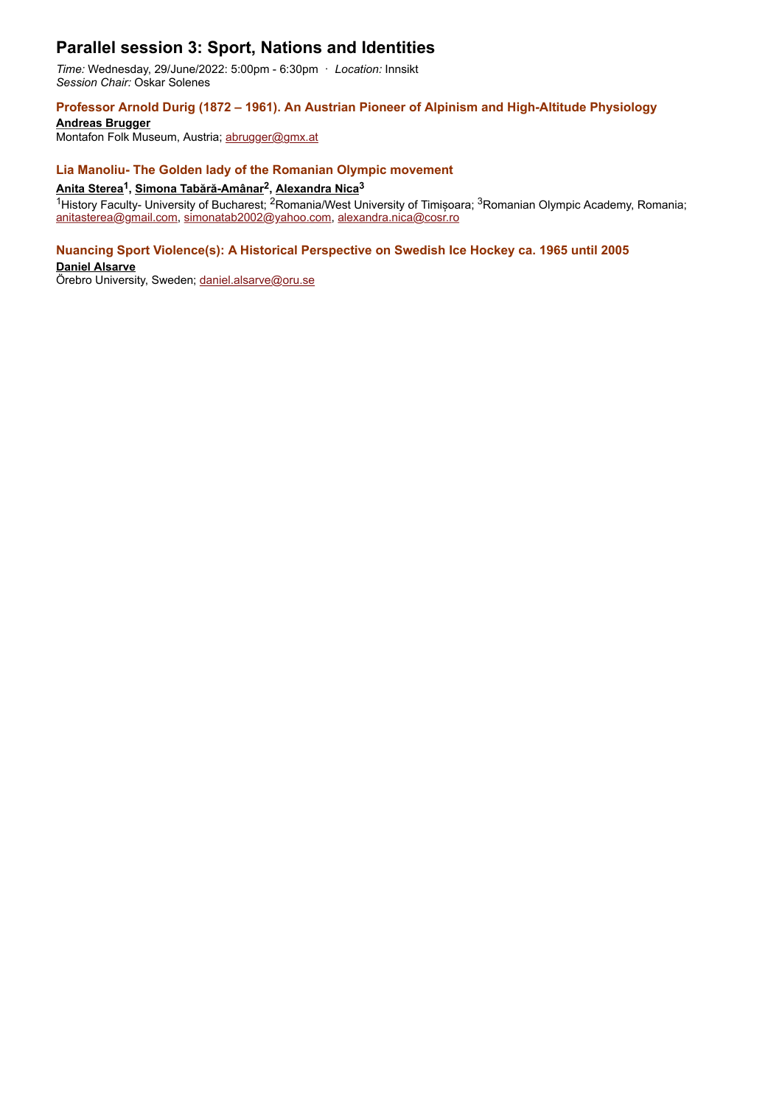## **Parallel session 3: Sport, Nations and Identities**

*Time:* Wednesday, 29/June/2022: 5:00pm - 6:30pm · *Location:* Innsikt *Session Chair:* Oskar Solenes

### **Professor Arnold Durig (1872 – 1961). An Austrian Pioneer of Alpinism and High-Altitude Physiology**

**Andreas Brugger** Montafon Folk Museum, Austria; [abrugger@gmx.at](mailto:abrugger@gmx.at)

#### **Lia Manoliu- The Golden lady of the Romanian Olympic movement**

## **Anita Sterea1, Simona Tabără-Amânar2, Alexandra Nica3**

<sup>1</sup>History Faculty- University of Bucharest; <sup>2</sup>Romania/West University of Timișoara; <sup>3</sup>Romanian Olympic Academy, Romania; [anitasterea@gmail.com](mailto:anitasterea@gmail.com), [simonatab2002@yahoo.com](mailto:simonatab2002@yahoo.com), [alexandra.nica@cosr.ro](mailto:alexandra.nica@cosr.ro)

#### **Nuancing Sport Violence(s): A Historical Perspective on Swedish Ice Hockey ca. 1965 until 2005**

**Daniel Alsarve**

Örebro University, Sweden; [daniel.alsarve@oru.se](mailto:daniel.alsarve@oru.se)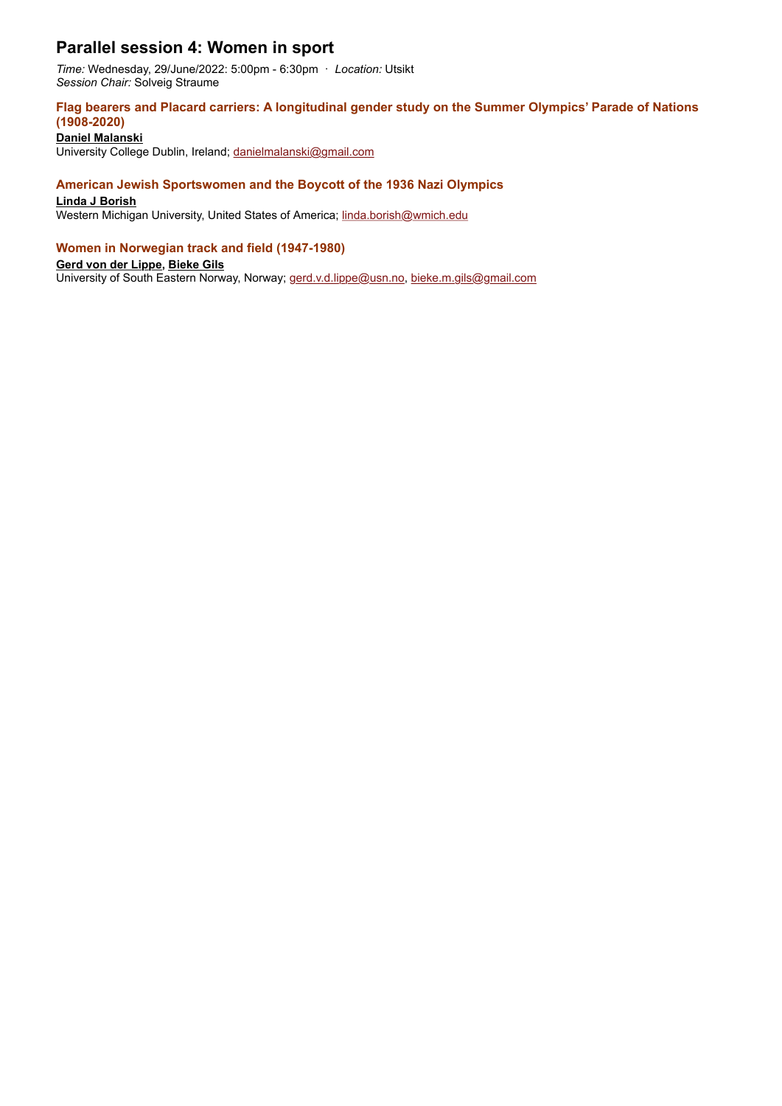# **Parallel session 4: Women in sport**

*Time:* Wednesday, 29/June/2022: 5:00pm - 6:30pm · *Location:* Utsikt *Session Chair:* Solveig Straume

### **Flag bearers and Placard carriers: A longitudinal gender study on the Summer Olympics' Parade of Nations (1908-2020)**

**Daniel Malanski**

University College Dublin, Ireland; [danielmalanski@gmail.com](mailto:danielmalanski@gmail.com)

## **American Jewish Sportswomen and the Boycott of the 1936 Nazi Olympics**

**Linda J Borish**

Western Michigan University, United States of America; [linda.borish@wmich.edu](mailto:linda.borish@wmich.edu)

### **Women in Norwegian track and field (1947-1980)**

**Gerd von der Lippe, Bieke Gils**

University of South Eastern Norway, Norway; [gerd.v.d.lippe@usn.no](mailto:gerd.v.d.lippe@usn.no), [bieke.m.gils@gmail.com](mailto:bieke.m.gils@gmail.com)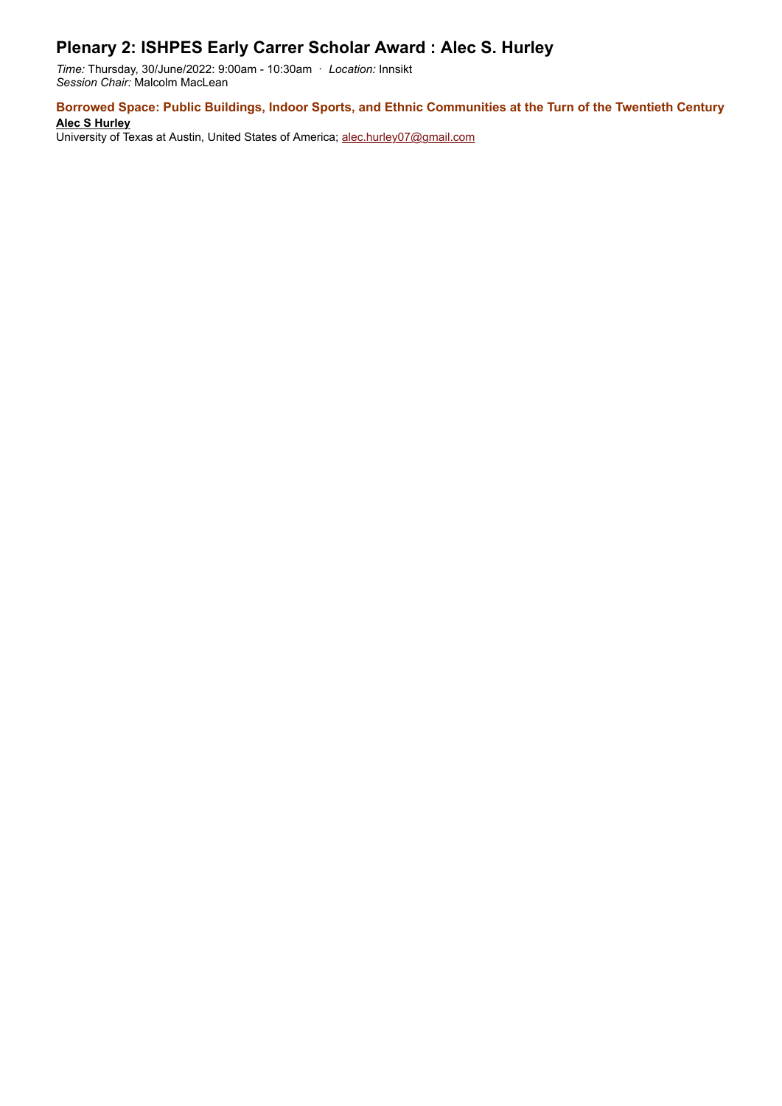# **Plenary 2: ISHPES Early Carrer Scholar Award : Alec S. Hurley**

*Time:* Thursday, 30/June/2022: 9:00am - 10:30am · *Location:* Innsikt *Session Chair:* Malcolm MacLean

**Borrowed Space: Public Buildings, Indoor Sports, and Ethnic Communities at the Turn of the Twentieth Century Alec S Hurley**

University of Texas at Austin, United States of America; [alec.hurley07@gmail.com](mailto:alec.hurley07@gmail.com)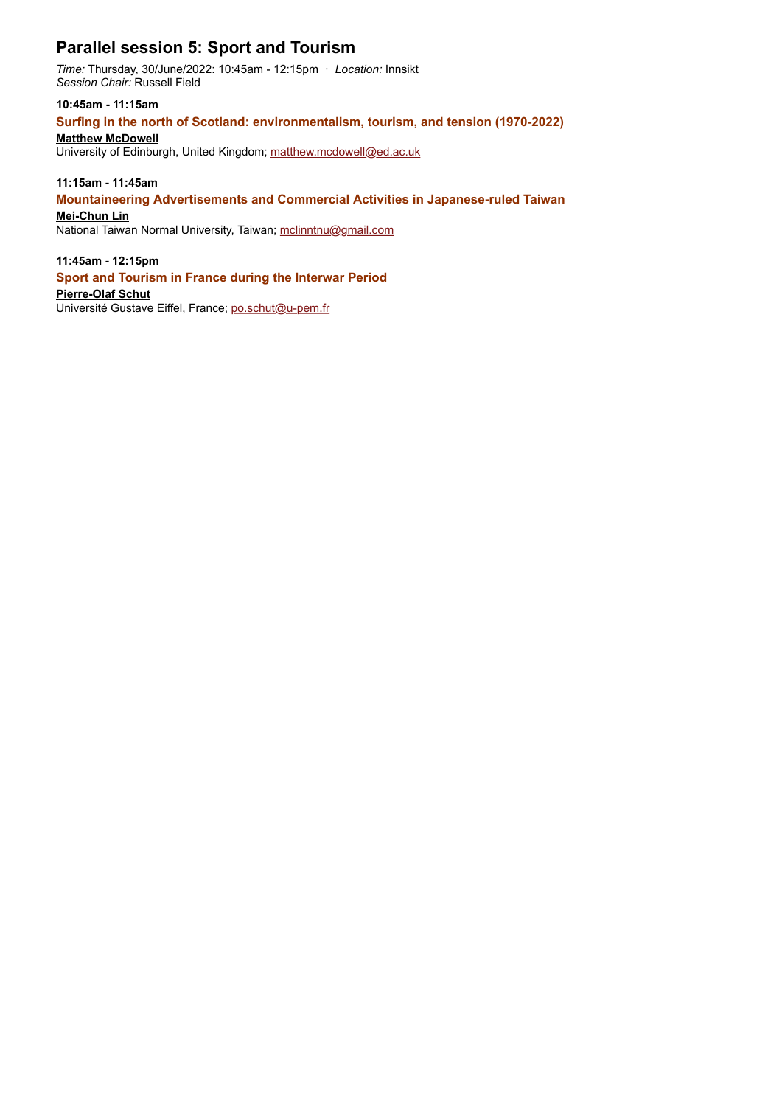# **Parallel session 5: Sport and Tourism**

*Time:* Thursday, 30/June/2022: 10:45am - 12:15pm · *Location:* Innsikt *Session Chair:* Russell Field

**10:45am - 11:15am**

## **Surfing in the north of Scotland: environmentalism, tourism, and tension (1970-2022)**

## **Matthew McDowell**

University of Edinburgh, United Kingdom; [matthew.mcdowell@ed.ac.uk](mailto:matthew.mcdowell@ed.ac.uk)

## **11:15am - 11:45am**

### **Mountaineering Advertisements and Commercial Activities in Japanese-ruled Taiwan**

**Mei-Chun Lin**

National Taiwan Normal University, Taiwan; [mclinntnu@gmail.com](mailto:mclinntnu@gmail.com)

### **11:45am - 12:15pm**

#### **Sport and Tourism in France during the Interwar Period**

**Pierre-Olaf Schut**

Université Gustave Eiffel, France; [po.schut@u-pem.fr](mailto:po.schut@u-pem.fr)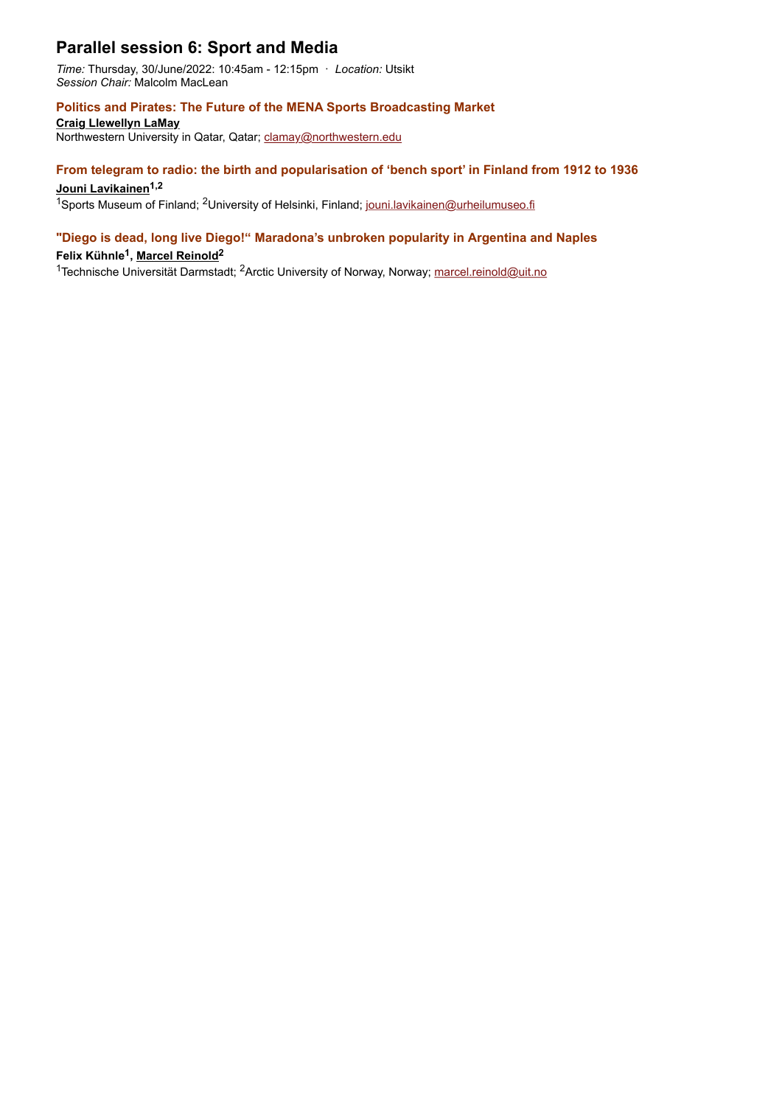# **Parallel session 6: Sport and Media**

*Time:* Thursday, 30/June/2022: 10:45am - 12:15pm · *Location:* Utsikt *Session Chair:* Malcolm MacLean

#### **Politics and Pirates: The Future of the MENA Sports Broadcasting Market**

**Craig Llewellyn LaMay**

Northwestern University in Qatar, Qatar; [clamay@northwestern.edu](mailto:clamay@northwestern.edu)

## **From telegram to radio: the birth and popularisation of 'bench sport' in Finland from 1912 to 1936**

## Jouni Lavikainen<sup>1,2</sup>

<sup>1</sup>Sports Museum of Finland; <sup>2</sup>University of Helsinki, Finland; [jouni.lavikainen@urheilumuseo.fi](mailto:jouni.lavikainen@urheilumuseo.fi)

## **"Diego is dead, long live Diego!" Maradona's unbroken popularity in Argentina and Naples**

### **Felix Kühnle1, Marcel Reinold2**

<sup>1</sup>Technische Universität Darmstadt; <sup>2</sup>Arctic University of Norway, Norway; [marcel.reinold@uit.no](mailto:marcel.reinold@uit.no)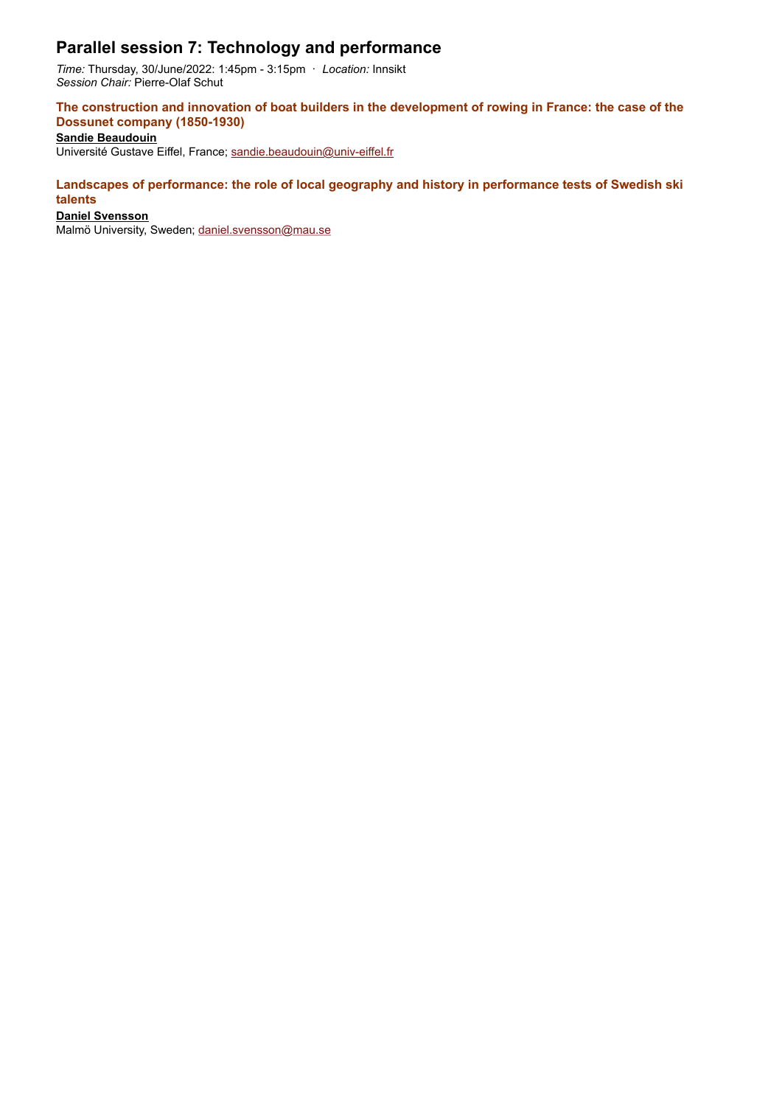# **Parallel session 7: Technology and performance**

*Time:* Thursday, 30/June/2022: 1:45pm - 3:15pm · *Location:* Innsikt *Session Chair:* Pierre-Olaf Schut

**The construction and innovation of boat builders in the development of rowing in France: the case of the Dossunet company (1850-1930)**

**Sandie Beaudouin**

Université Gustave Eiffel, France; [sandie.beaudouin@univ-eiffel.fr](mailto:sandie.beaudouin@univ-eiffel.fr)

### **Landscapes of performance: the role of local geography and history in performance tests of Swedish ski talents**

#### **Daniel Svensson**

Malmö University, Sweden; [daniel.svensson@mau.se](mailto:daniel.svensson@mau.se)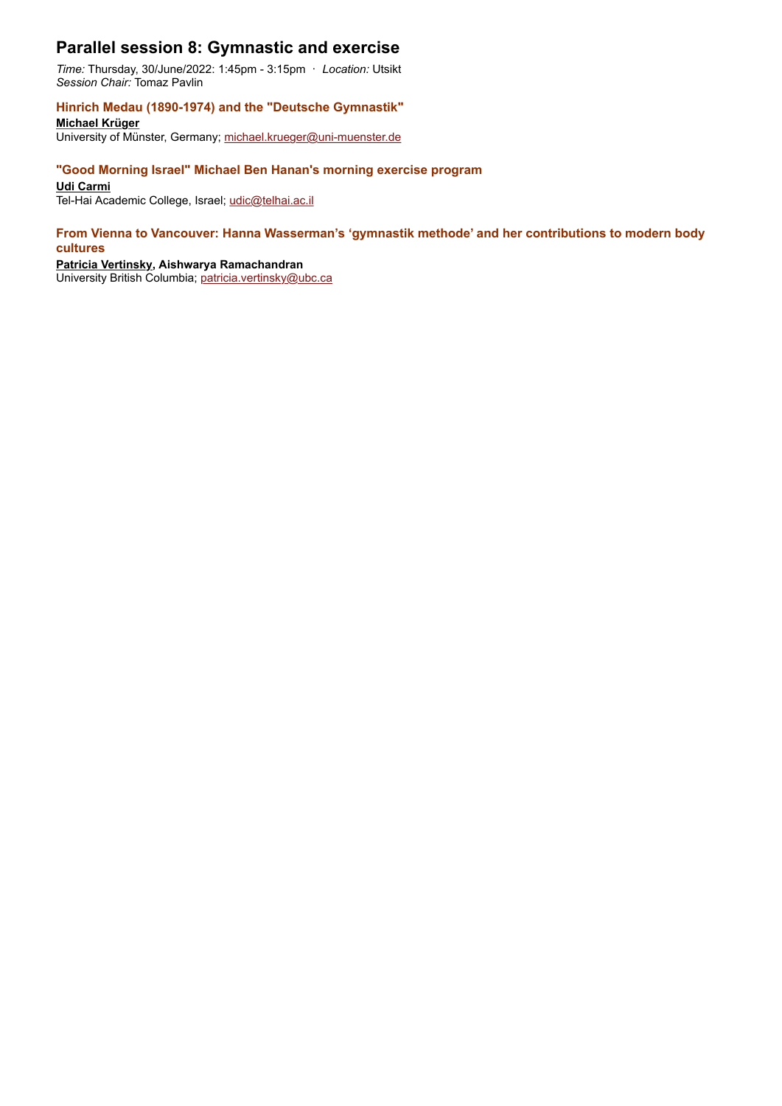## **Parallel session 8: Gymnastic and exercise**

*Time:* Thursday, 30/June/2022: 1:45pm - 3:15pm · *Location:* Utsikt *Session Chair:* Tomaz Pavlin

### **Hinrich Medau (1890-1974) and the "Deutsche Gymnastik"**

**Michael Krüger** University of Münster, Germany; [michael.krueger@uni-muenster.de](mailto:michael.krueger@uni-muenster.de)

## **"Good Morning Israel" Michael Ben Hanan's morning exercise program**

#### **Udi Carmi**

Tel-Hai Academic College, Israel; [udic@telhai.ac.il](mailto:udic@telhai.ac.il)

#### **From Vienna to Vancouver: Hanna Wasserman's 'gymnastik methode' and her contributions to modern body cultures**

#### **Patricia Vertinsky, Aishwarya Ramachandran**

University British Columbia; [patricia.vertinsky@ubc.ca](mailto:patricia.vertinsky@ubc.ca)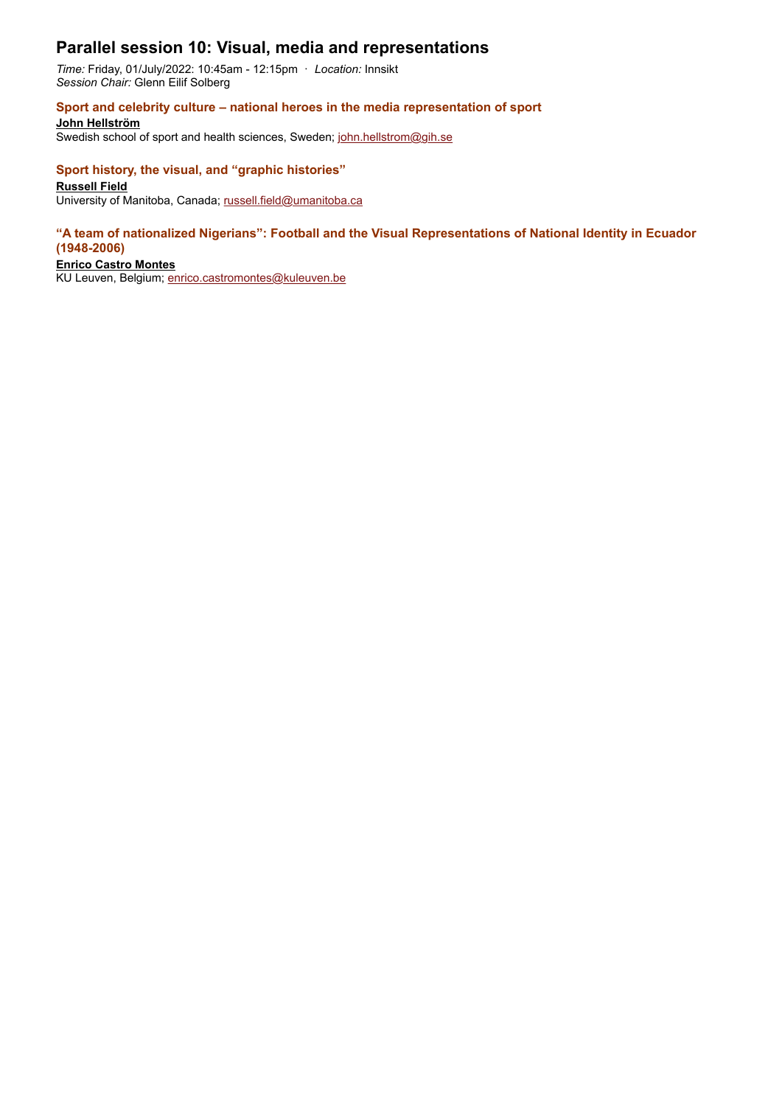## **Parallel session 10: Visual, media and representations**

*Time:* Friday, 01/July/2022: 10:45am - 12:15pm · *Location:* Innsikt *Session Chair:* Glenn Eilif Solberg

#### **Sport and celebrity culture – national heroes in the media representation of sport**

**John Hellström**

Swedish school of sport and health sciences, Sweden; [john.hellstrom@gih.se](mailto:john.hellstrom@gih.se)

#### **Sport history, the visual, and "graphic histories"**

### **Russell Field**

University of Manitoba, Canada; [russell.field@umanitoba.ca](mailto:russell.field@umanitoba.ca)

#### **"A team of nationalized Nigerians": Football and the Visual Representations of National Identity in Ecuador (1948-2006)**

#### **Enrico Castro Montes**

KU Leuven, Belgium; [enrico.castromontes@kuleuven.be](mailto:enrico.castromontes@kuleuven.be)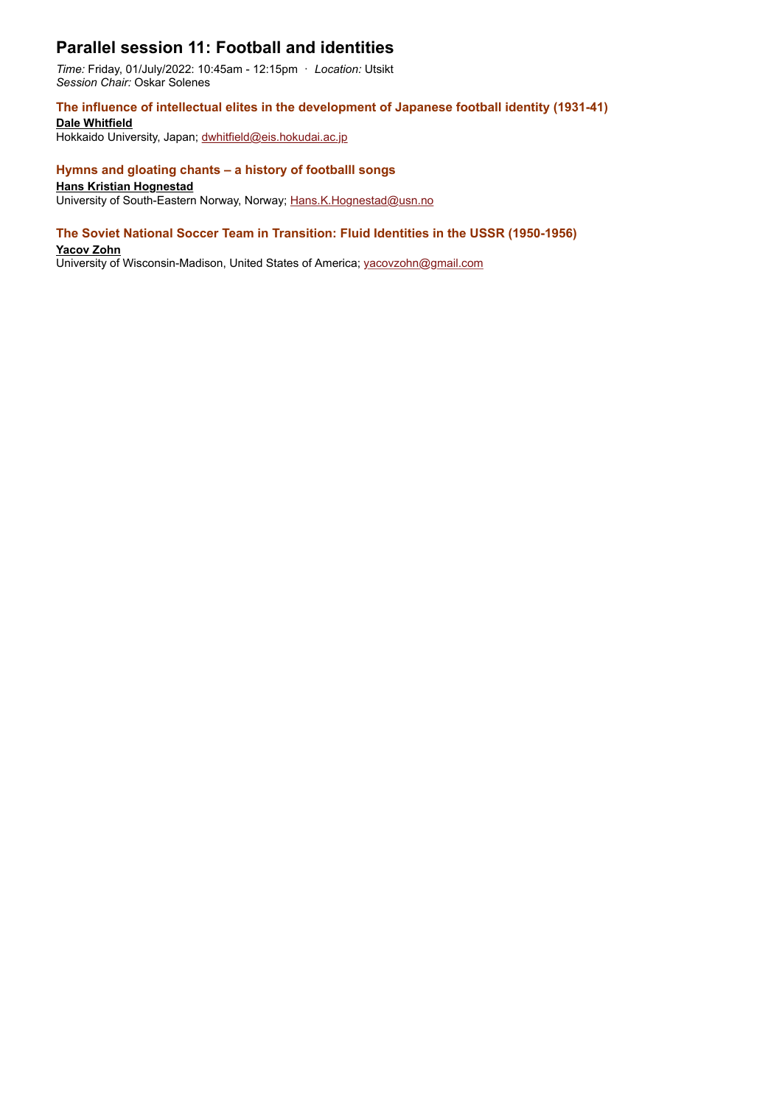# **Parallel session 11: Football and identities**

*Time:* Friday, 01/July/2022: 10:45am - 12:15pm · *Location:* Utsikt *Session Chair:* Oskar Solenes

### **The influence of intellectual elites in the development of Japanese football identity (1931-41)**

**Dale Whitfield**

Hokkaido University, Japan; [dwhitfield@eis.hokudai.ac.jp](mailto:dwhitfield@eis.hokudai.ac.jp)

#### **Hymns and gloating chants – a history of footballl songs**

#### **Hans Kristian Hognestad**

University of South-Eastern Norway, Norway; [Hans.K.Hognestad@usn.no](mailto:Hans.K.Hognestad@usn.no)

#### **The Soviet National Soccer Team in Transition: Fluid Identities in the USSR (1950-1956)**

#### **Yacov Zohn**

University of Wisconsin-Madison, United States of America; [yacovzohn@gmail.com](mailto:yacovzohn@gmail.com)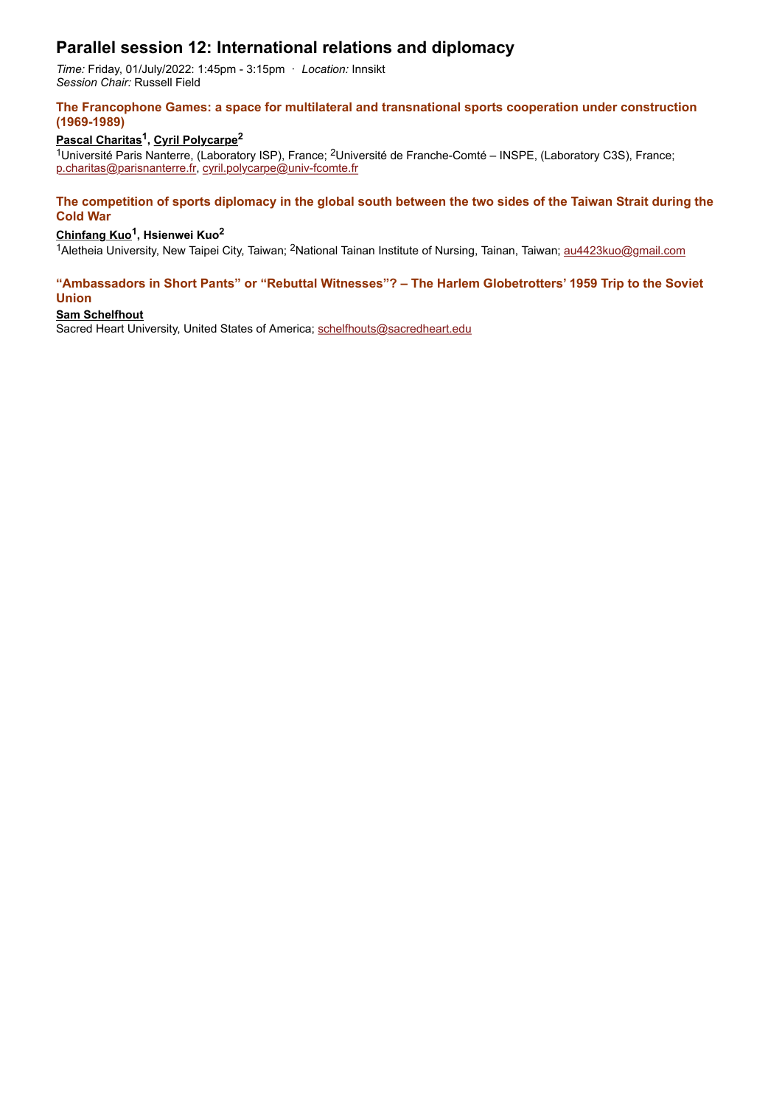# **Parallel session 12: International relations and diplomacy**

*Time:* Friday, 01/July/2022: 1:45pm - 3:15pm · *Location:* Innsikt *Session Chair:* Russell Field

#### **The Francophone Games: a space for multilateral and transnational sports cooperation under construction (1969-1989)**

### **Pascal Charitas1, Cyril Polycarpe2**

1Université Paris Nanterre, (Laboratory ISP), France; 2Université de Franche-Comté – INSPE, (Laboratory C3S), France; [p.charitas@parisnanterre.fr](mailto:p.charitas@parisnanterre.fr), [cyril.polycarpe@univ-fcomte.fr](mailto:cyril.polycarpe@univ-fcomte.fr)

#### **The competition of sports diplomacy in the global south between the two sides of the Taiwan Strait during the Cold War**

## **Chinfang Kuo1, Hsienwei Kuo2**

1Aletheia University, New Taipei City, Taiwan; <sup>2</sup>National Tainan Institute of Nursing, Tainan, Taiwan; [au4423kuo@gmail.com](mailto:au4423kuo@gmail.com)

#### **"Ambassadors in Short Pants" or "Rebuttal Witnesses"? – The Harlem Globetrotters' 1959 Trip to the Soviet Union**

### **Sam Schelfhout**

Sacred Heart University, United States of America; [schelfhouts@sacredheart.edu](mailto:schelfhouts@sacredheart.edu)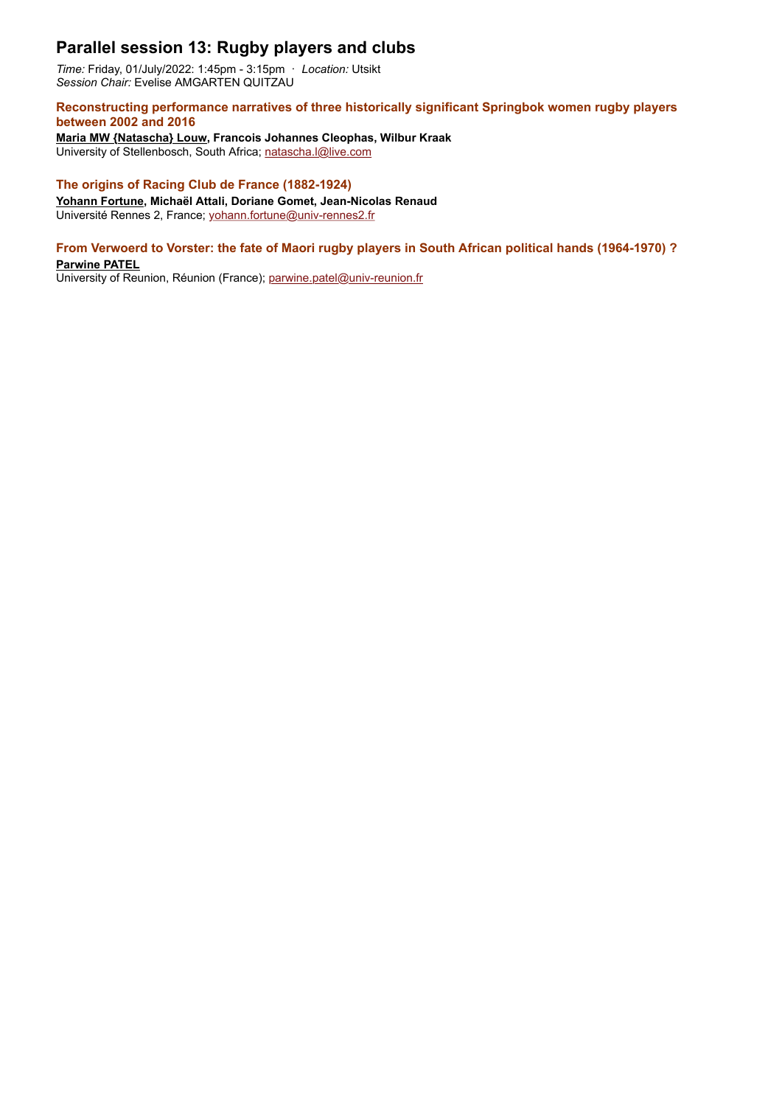# **Parallel session 13: Rugby players and clubs**

*Time:* Friday, 01/July/2022: 1:45pm - 3:15pm · *Location:* Utsikt *Session Chair:* Evelise AMGARTEN QUITZAU

#### **Reconstructing performance narratives of three historically significant Springbok women rugby players between 2002 and 2016**

**Maria MW {Natascha} Louw, Francois Johannes Cleophas, Wilbur Kraak** University of Stellenbosch, South Africa; [natascha.l@live.com](mailto:natascha.l@live.com)

### **The origins of Racing Club de France (1882-1924)**

**Yohann Fortune, Michaël Attali, Doriane Gomet, Jean-Nicolas Renaud** Université Rennes 2, France; [yohann.fortune@univ-rennes2.fr](mailto:yohann.fortune@univ-rennes2.fr)

## **From Verwoerd to Vorster: the fate of Maori rugby players in South African political hands (1964-1970) ?**

**Parwine PATEL**

University of Reunion, Réunion (France); [parwine.patel@univ-reunion.fr](mailto:parwine.patel@univ-reunion.fr)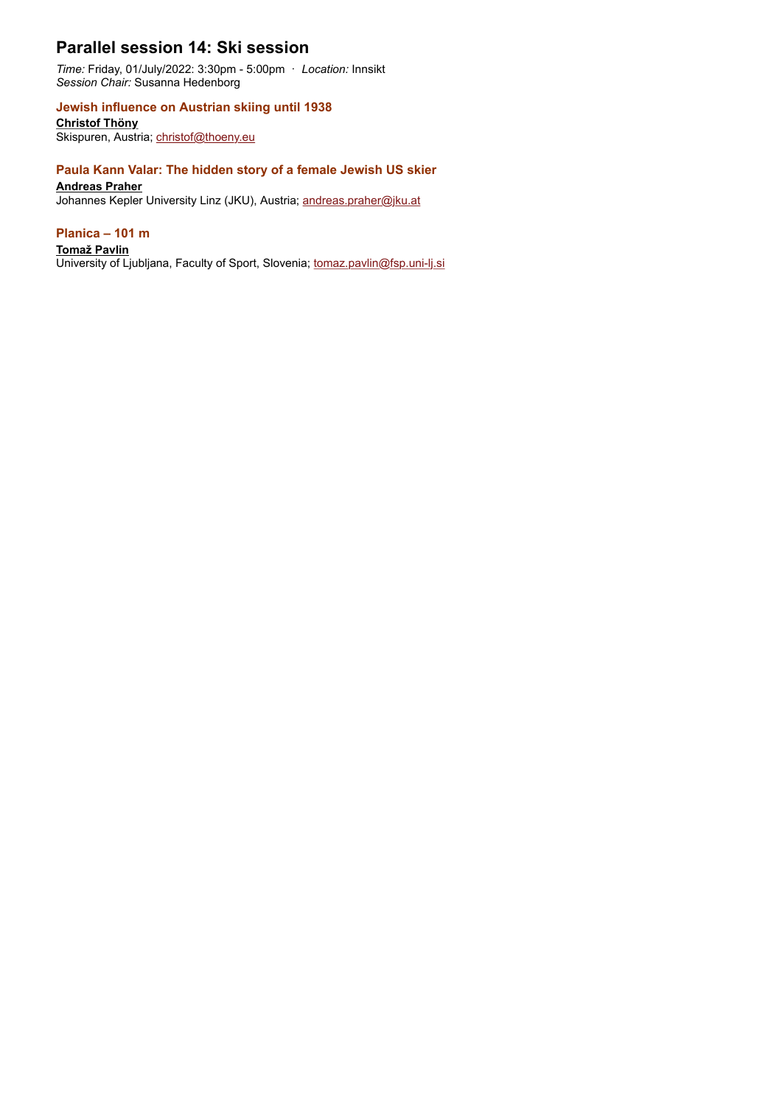# **Parallel session 14: Ski session**

*Time:* Friday, 01/July/2022: 3:30pm - 5:00pm · *Location:* Innsikt *Session Chair:* Susanna Hedenborg

## **Jewish influence on Austrian skiing until 1938**

**Christof Thöny** Skispuren, Austria; [christof@thoeny.eu](mailto:christof@thoeny.eu)

#### **Paula Kann Valar: The hidden story of a female Jewish US skier**

#### **Andreas Praher**

Johannes Kepler University Linz (JKU), Austria; [andreas.praher@jku.at](mailto:andreas.praher@jku.at)

#### **Planica – 101 m**

#### **Tomaž Pavlin**

University of Ljubljana, Faculty of Sport, Slovenia; [tomaz.pavlin@fsp.uni-lj.si](mailto:tomaz.pavlin@fsp.uni-lj.si)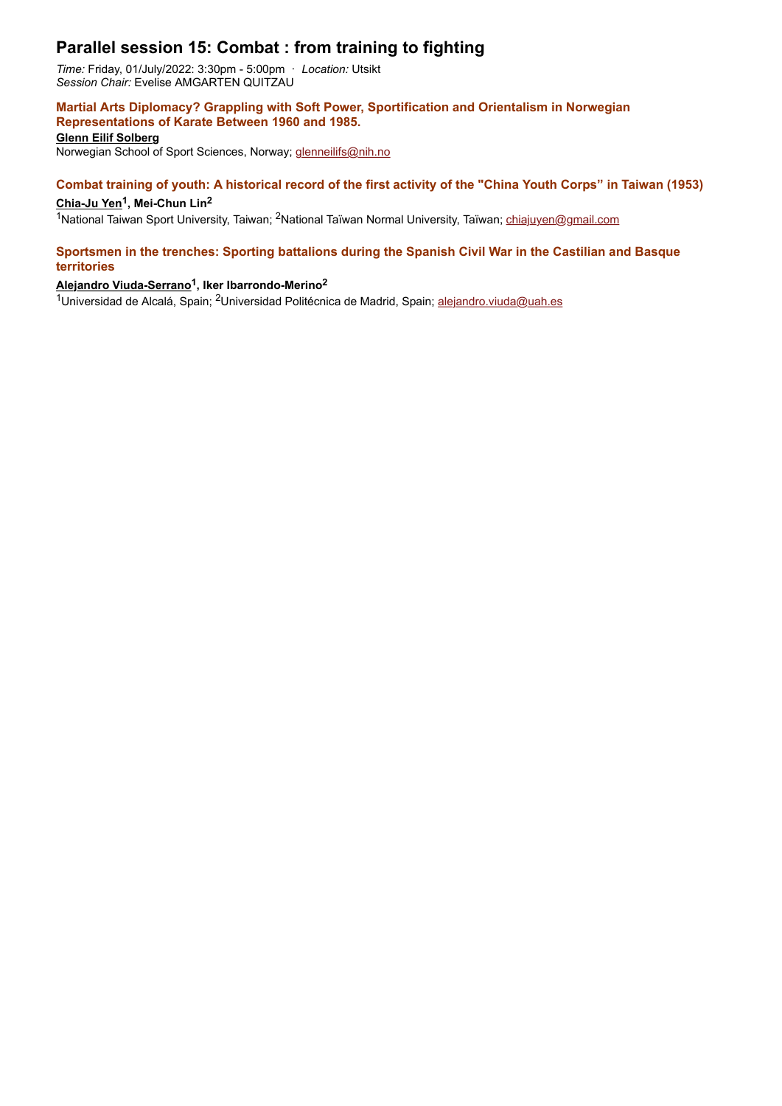# **Parallel session 15: Combat : from training to fighting**

*Time:* Friday, 01/July/2022: 3:30pm - 5:00pm · *Location:* Utsikt *Session Chair:* Evelise AMGARTEN QUITZAU

## **Martial Arts Diplomacy? Grappling with Soft Power, Sportification and Orientalism in Norwegian Representations of Karate Between 1960 and 1985.**

**Glenn Eilif Solberg** Norwegian School of Sport Sciences, Norway; [glenneilifs@nih.no](mailto:glenneilifs@nih.no)

## **Combat training of youth: A historical record of the first activity of the "China Youth Corps" in Taiwan (1953)**

#### Chia-Ju Yen<sup>1</sup>, Mei-Chun Lin<sup>2</sup>

<sup>1</sup>National Taiwan Sport University, Taiwan; <sup>2</sup>National Taïwan Normal University, Taïwan; [chiajuyen@gmail.com](mailto:chiajuyen@gmail.com)

#### **Sportsmen in the trenches: Sporting battalions during the Spanish Civil War in the Castilian and Basque territories**

## **Alejandro Viuda-Serrano1, Iker Ibarrondo-Merino2**

1Universidad de Alcalá, Spain; <sup>2</sup>Universidad Politécnica de Madrid, Spain; [alejandro.viuda@uah.es](mailto:alejandro.viuda@uah.es)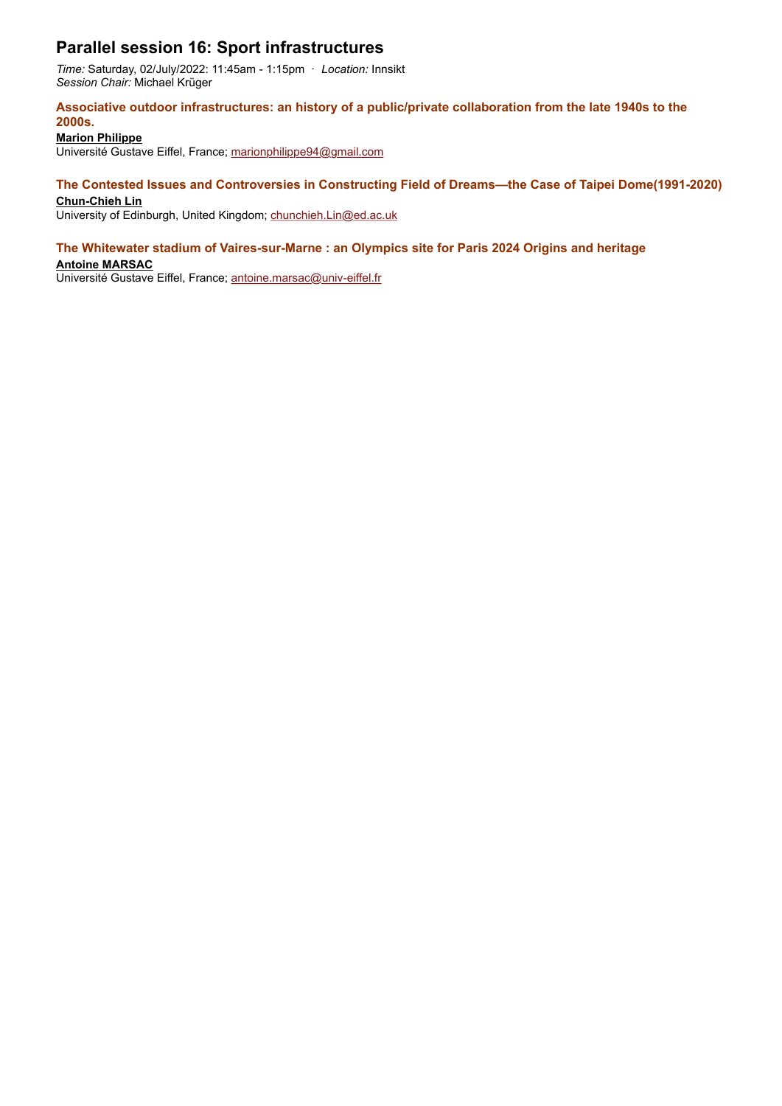# **Parallel session 16: Sport infrastructures**

*Time:* Saturday, 02/July/2022: 11:45am - 1:15pm · *Location:* Innsikt *Session Chair:* Michael Krüger

#### **Associative outdoor infrastructures: an history of a public/private collaboration from the late 1940s to the 2000s.**

## **Marion Philippe**

Université Gustave Eiffel, France; [marionphilippe94@gmail.com](mailto:marionphilippe94@gmail.com)

#### **The Contested Issues and Controversies in Constructing Field of Dreams—the Case of Taipei Dome(1991-2020)**

#### **Chun-Chieh Lin**

University of Edinburgh, United Kingdom; [chunchieh.Lin@ed.ac.uk](mailto:chunchieh.Lin@ed.ac.uk)

#### **The Whitewater stadium of Vaires-sur-Marne : an Olympics site for Paris 2024 Origins and heritage**

#### **Antoine MARSAC**

Université Gustave Eiffel, France; [antoine.marsac@univ-eiffel.fr](mailto:antoine.marsac@univ-eiffel.fr)